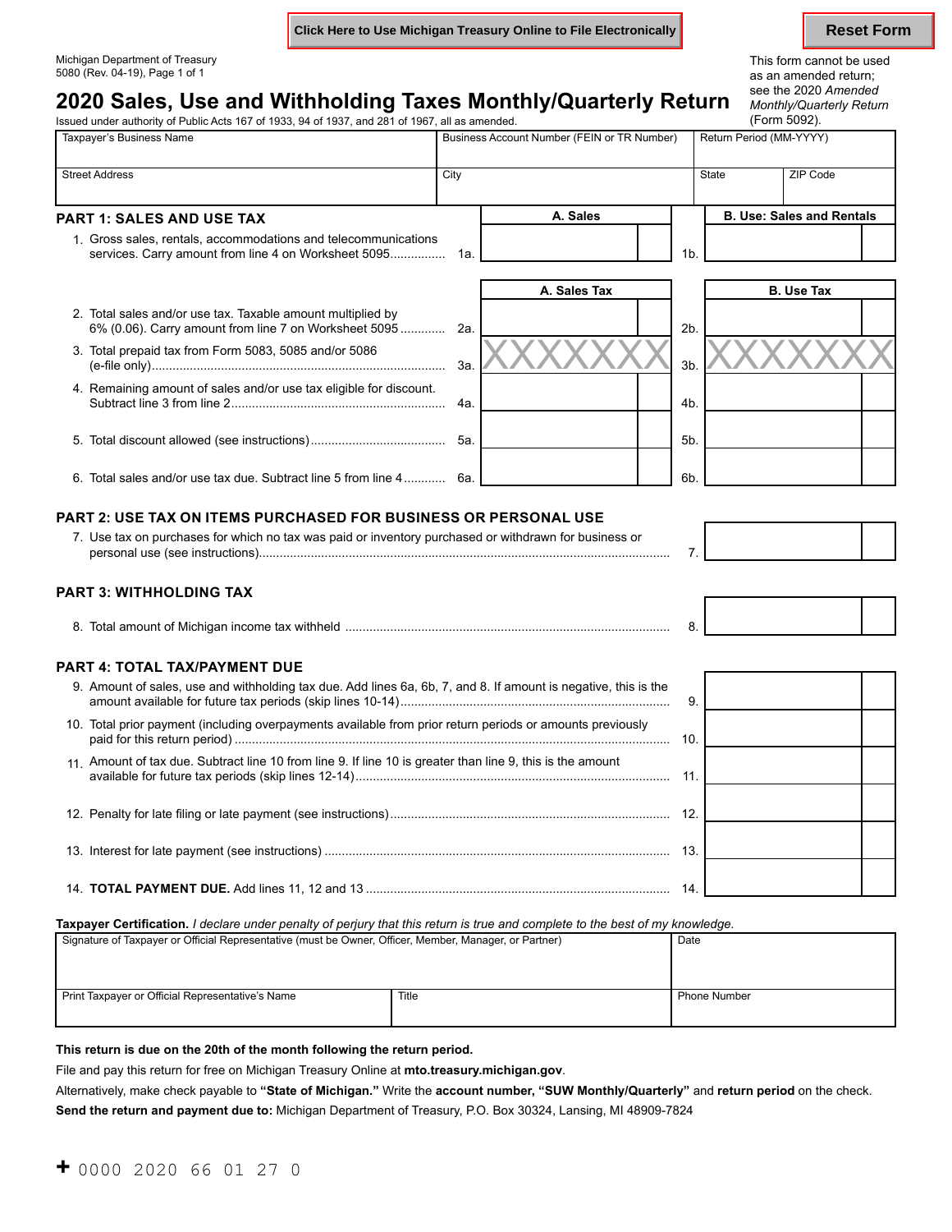**Click Here to Use Michigan Treasury Online to File Electronically <b>Reset Form** Reset Form

# Michigan Department of Treasury and the used of the state of the state of the state of the state of the state of the state of the state of the state of the state of the state of the state of the state of the state of the s

### **2020 Sales, Use and Withholding Taxes Monthly/Quarterly Return** *Monthly/Quarterly* Return *Monthly/Qua*<br>Issued under authority of Public Acts 167 of 1933. 94 of 1937, and 281 of 1967, all as amended. Issued under authority of Public Acts 167 of 1933, 94 of 1937, and 281 of 1967, all as amended.

as an amended return;<br>see the 2020 Amended *Monthly/Quarterly Return* 

| Taxpayer's Business Name                                                                                             |      | Business Account Number (FEIN or TR Number) |                |              | Return Period (MM-YYYY)          |  |
|----------------------------------------------------------------------------------------------------------------------|------|---------------------------------------------|----------------|--------------|----------------------------------|--|
| <b>Street Address</b>                                                                                                | City |                                             |                | <b>State</b> | ZIP Code                         |  |
| <b>PART 1: SALES AND USE TAX</b>                                                                                     |      | A. Sales                                    |                |              | <b>B. Use: Sales and Rentals</b> |  |
| 1. Gross sales, rentals, accommodations and telecommunications                                                       |      |                                             | 1 <sub>b</sub> |              |                                  |  |
|                                                                                                                      |      | A. Sales Tax                                |                |              | <b>B.</b> Use Tax                |  |
| 2. Total sales and/or use tax. Taxable amount multiplied by<br>6% (0.06). Carry amount from line 7 on Worksheet 5095 | 2a.  |                                             | 2 <sub>b</sub> |              |                                  |  |
| 3. Total prepaid tax from Form 5083, 5085 and/or 5086                                                                | 3а.  |                                             | 3 <sub>b</sub> |              |                                  |  |
| 4. Remaining amount of sales and/or use tax eligible for discount.                                                   | 4a.  |                                             | 4 <sub>b</sub> |              |                                  |  |
|                                                                                                                      | 5а.  |                                             | 5 <sub>b</sub> |              |                                  |  |
| 6. Total sales and/or use tax due. Subtract line 5 from line 4                                                       | 6а.  |                                             | 6b.            |              |                                  |  |

### **PART 2: USE TAX ON ITEMS PURCHASED FOR BUSINESS OR PERSONAL USE**

| . Use tax on purchases for which no tax was paid or inventory purchased or withdrawn for business or |  |
|------------------------------------------------------------------------------------------------------|--|
| nersonal use (see instructions)                                                                      |  |
|                                                                                                      |  |

### **PART 3: WITHHOLDING TAX**

| ⊺ Milchidan inc≀<br>шек.<br>лне |  |
|---------------------------------|--|
|---------------------------------|--|

### **PART 4: TOTAL TAX/PAYMENT DUE**

| 9. Amount of sales, use and withholding tax due. Add lines 6a, 6b, 7, and 8. If amount is negative, this is the | 9  |  |
|-----------------------------------------------------------------------------------------------------------------|----|--|
| 10. Total prior payment (including overpayments available from prior return periods or amounts previously       | 10 |  |
| 11 Amount of tax due. Subtract line 10 from line 9. If line 10 is greater than line 9, this is the amount       | 11 |  |
|                                                                                                                 |    |  |
|                                                                                                                 | 13 |  |
|                                                                                                                 | 14 |  |

**Taxpayer Certification.** *I declare under penalty of perjury that this return is true and complete to the best of my knowledge.* 

| Signature of Taxpayer or Official Representative (must be Owner, Officer, Member, Manager, or Partner) | Date  |                     |
|--------------------------------------------------------------------------------------------------------|-------|---------------------|
| Print Taxpayer or Official Representative's Name                                                       | Title | <b>Phone Number</b> |

### **This return is due on the 20th of the month following the return period.**

File and pay this return for free on Michigan Treasury Online at **[mto.treasury.michigan.gov](https://mto.treasury.michigan.gov)**.

Alternatively, make check payable to **"State of Michigan."** Write the **account number, "SUW Monthly/Quarterly"** and **return period** on the check.

**Send the return and payment due to:** Michigan Department of Treasury, P.O. Box 30324, Lansing, MI 48909-7824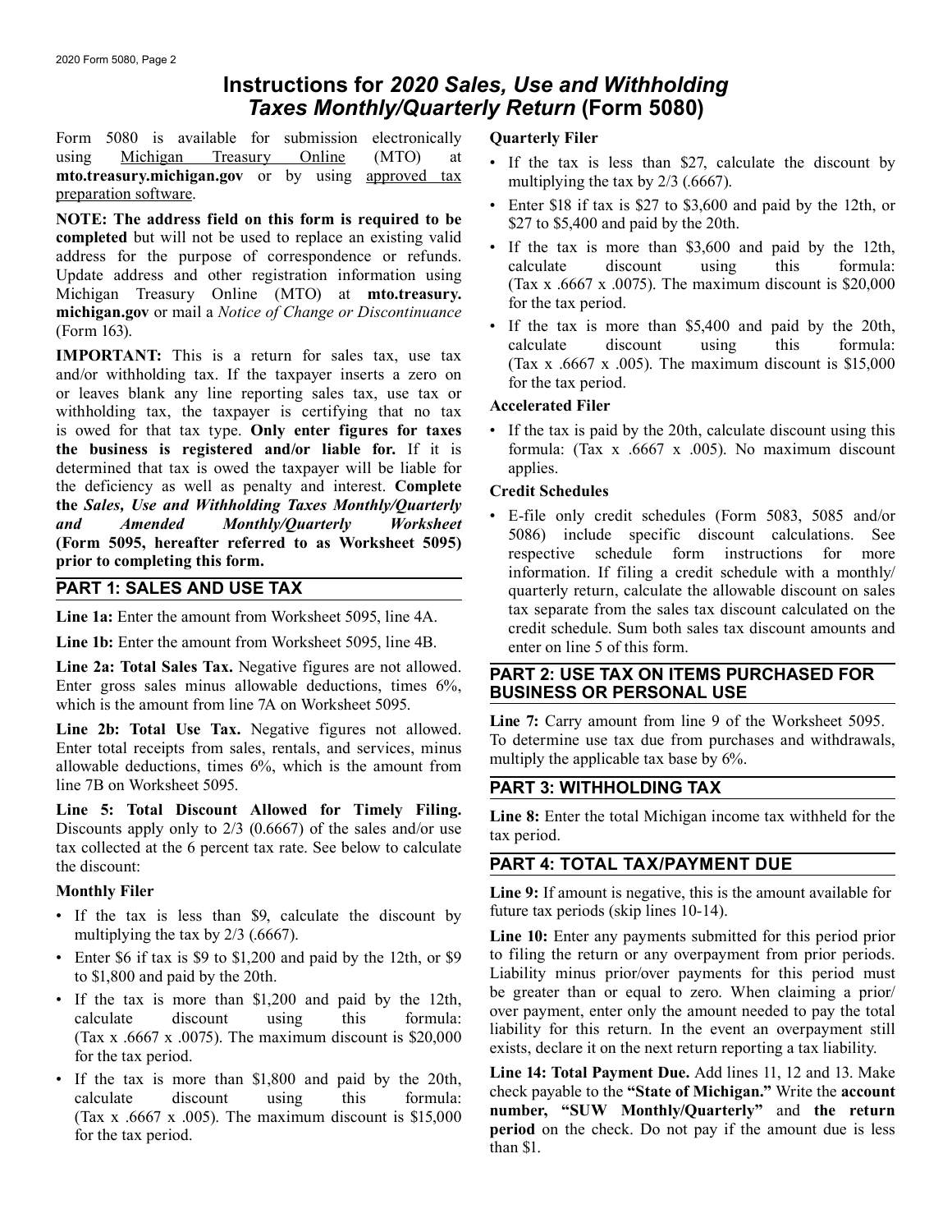## **Instructions for** *2020 Sales, Use and Withholding Taxes Monthly/Quarterly Return* **(Form 5080)**

Form 5080 is available for submission electronically **Quarterly Filer** 

usingMichigan Treasury Online (MTO) at the tax is less than \$27, calculate the discount by<br> **noto.treasury.[michigan.gov](https://michigan.gov)** or by using approved tax<br> **notice** in the tax is less than \$27, calculate the discount by<br> **notice** 

IMPORTANT: This is a return for sales tax, use tax<br>and/or withholding tax. If the taxpayer inserts a zero on<br>or leaves blank any line reporting sales tax, use tax or<br>withholding tax, the taxpayer is certifying that no tax<br> is owed for that tax type. **Only enter figures for taxes** • If the tax is paid by the 20th, calculate discount using this **the business is registered and/or liable for.** If it is formula: (Tax x .6667 x .005). No maximum discount determined that tax is owed the taxpayer will be liable for applies. the deficiency as well as penalty and interest. Complete Credit Schedules **the** *Sales, Use and Withholding Taxes Monthly/Quarterly* 

**Line 1b:** Enter the amount from Worksheet 5095, line 4B. enter on line 5 of this form.

Line 2a: Total Sales Tax. Negative figures are not allowed.<br>
Enter gross sales minus allowable deductions, times 6%,<br>
which is the amount from line 7A on Worksheet 5095.<br>
Line 2b. Tary amount from line 9 of the Worksheet 5

Line 2b: Total Use Tax. Negative figures not allowed.<br>
Enter total receipts from sales, rentals, and services, minus<br>
allowable deductions, times 6%, which is the amount from<br>
allowable deductions, times 6%, which is the a line 7B on Worksheet 5095. **PART 3: WITHHOLDING TAX** 

**Line 5:** Total Discount Allowed for Timely Filing.<br>Discounts apply only to  $2/3$  (0.6667) of the sales and/or use tax period.<br>tax collected at the 6 percent tax rate. See below to calculate the discount: **PART 4: TOTAL TAX/PAYMENT DUE** 

- If the tax is less than \$9, calculate the discount by future tax periods (skip lines 10-14). multiplying the tax by  $2/3$  (.6667). **Line 10:** Enter any payments submitted for this period prior
- 
- If the tax is more than \$1,200 and paid by the 12th,<br>
calculate discount using this formula:<br>
(Tax x .6667 x .0075). The maximum discount is \$20,000<br>
for the tax period.<br>
 If the tax is more than \$1,800 and paid by the
- 

- 
- 
- 
- (Form 163).<br>
(Form 163).<br>
Figure 163).<br>
Calculate 1680 and paid by the 20th, calculate 1680 and paid by the 20th, calculate 1680 and paid by the 20th,

and Amended Monthly/Quarterly Worksheet<br>
The only credit schedules (Form 5093, 5085 and/or<br>
(Form 5095, hereafter referred to as Worksheet 5095)<br>
prior to completing this form.<br>
PART 1: SALES AND USE TAX<br>
PART 1: SALES AND quarterly return, calculate the allowable discount on sales tax separate from the sales tax discount calculated on the **Line 1a:** Enter the amount from Worksheet 5095, line 4A. Credit schedule. Sum both sales tax discount amounts and credit schedule. Sum both sales tax discount amounts and

**Monthly Filer Line 9:** If amount is negative, this is the amount available for

• Enter \$6 if tax is \$9 to \$1,200 and paid by the 12th, or \$9 to filing the return or any overpayment from prior periods. to \$1,800 and paid by the 20th.<br>
Liability minus prior/over payments for this period must<br>
Liability minus prior/over payments for this period must<br>
Liability minus prior/over payments for this period must<br>
Liability minus

• If the tax is more than \$1,800 and paid by the 20th,<br>calculate discount using this formula: check payable to the "State of Michigan." Write the account<br>(Tax x .6667 x .005). The maximum discount is \$15,000 number, "SUW